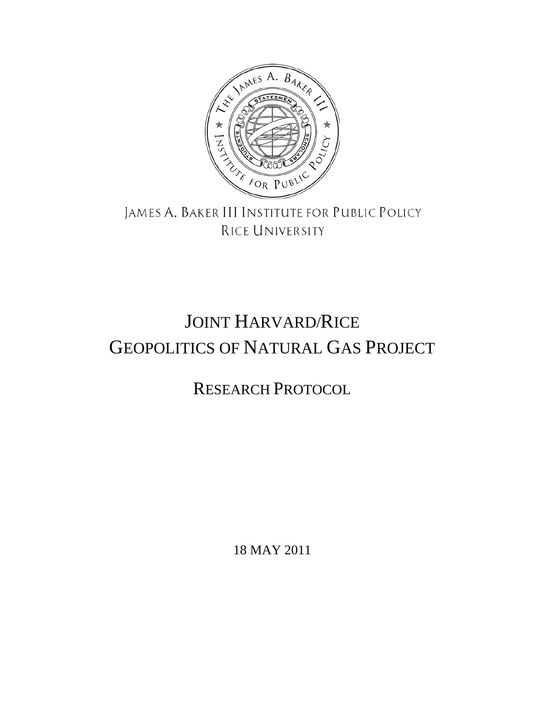

## JAMES A. BAKER III INSTITUTE FOR PUBLIC POLICY RICE UNIVERSITY

# JOINT HARVARD/RICE GEOPOLITICS OF NATURAL GAS PROJECT

## RESEARCH PROTOCOL

18 MAY 2011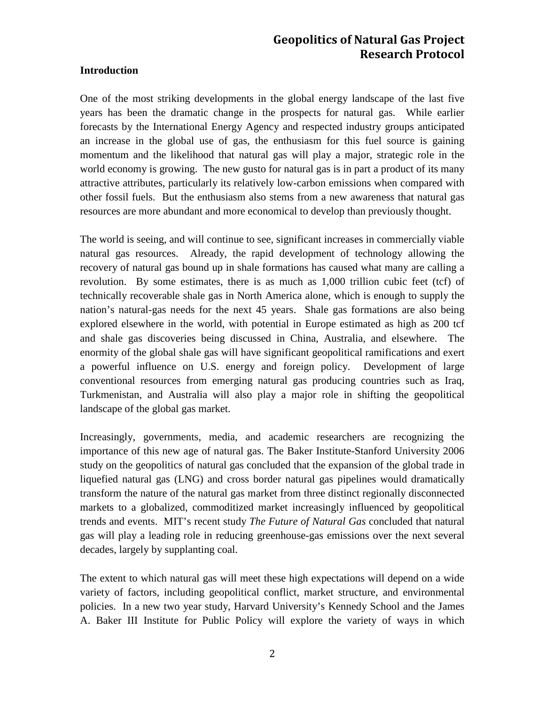#### **Introduction**

One of the most striking developments in the global energy landscape of the last five years has been the dramatic change in the prospects for natural gas. While earlier forecasts by the International Energy Agency and respected industry groups anticipated an increase in the global use of gas, the enthusiasm for this fuel source is gaining momentum and the likelihood that natural gas will play a major, strategic role in the world economy is growing. The new gusto for natural gas is in part a product of its many attractive attributes, particularly its relatively low-carbon emissions when compared with other fossil fuels. But the enthusiasm also stems from a new awareness that natural gas resources are more abundant and more economical to develop than previously thought.

The world is seeing, and will continue to see, significant increases in commercially viable natural gas resources. Already, the rapid development of technology allowing the recovery of natural gas bound up in shale formations has caused what many are calling a revolution. By some estimates, there is as much as 1,000 trillion cubic feet (tcf) of technically recoverable shale gas in North America alone, which is enough to supply the nation's natural-gas needs for the next 45 years. Shale gas formations are also being explored elsewhere in the world, with potential in Europe estimated as high as 200 tcf and shale gas discoveries being discussed in China, Australia, and elsewhere. The enormity of the global shale gas will have significant geopolitical ramifications and exert a powerful influence on U.S. energy and foreign policy. Development of large conventional resources from emerging natural gas producing countries such as Iraq, Turkmenistan, and Australia will also play a major role in shifting the geopolitical landscape of the global gas market.

Increasingly, governments, media, and academic researchers are recognizing the importance of this new age of natural gas. The Baker Institute-Stanford University 2006 study on the geopolitics of natural gas concluded that the expansion of the global trade in liquefied natural gas (LNG) and cross border natural gas pipelines would dramatically transform the nature of the natural gas market from three distinct regionally disconnected markets to a globalized, commoditized market increasingly influenced by geopolitical trends and events. MIT's recent study *The Future of Natural Gas* concluded that natural gas will play a leading role in reducing greenhouse-gas emissions over the next several decades, largely by supplanting coal.

The extent to which natural gas will meet these high expectations will depend on a wide variety of factors, including geopolitical conflict, market structure, and environmental policies. In a new two year study, Harvard University's Kennedy School and the James A. Baker III Institute for Public Policy will explore the variety of ways in which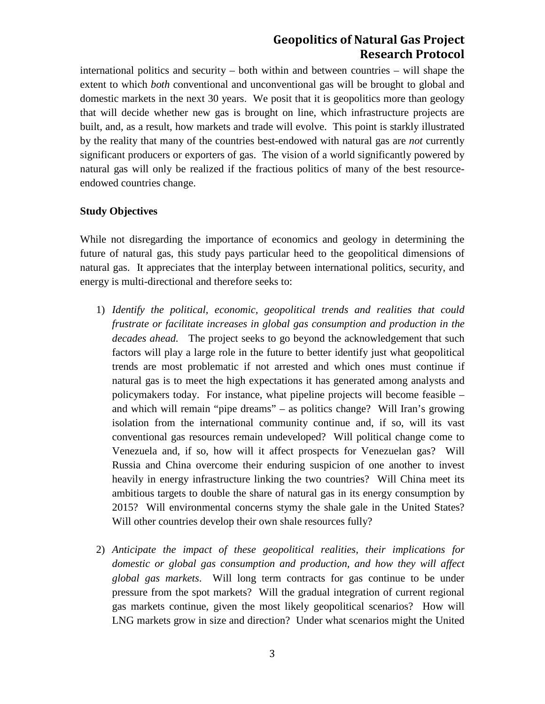international politics and security – both within and between countries – will shape the extent to which *both* conventional and unconventional gas will be brought to global and domestic markets in the next 30 years. We posit that it is geopolitics more than geology that will decide whether new gas is brought on line, which infrastructure projects are built, and, as a result, how markets and trade will evolve. This point is starkly illustrated by the reality that many of the countries best-endowed with natural gas are *not* currently significant producers or exporters of gas. The vision of a world significantly powered by natural gas will only be realized if the fractious politics of many of the best resourceendowed countries change.

#### **Study Objectives**

While not disregarding the importance of economics and geology in determining the future of natural gas, this study pays particular heed to the geopolitical dimensions of natural gas. It appreciates that the interplay between international politics, security, and energy is multi-directional and therefore seeks to:

- 1) *Identify the political, economic, geopolitical trends and realities that could frustrate or facilitate increases in global gas consumption and production in the decades ahead.* The project seeks to go beyond the acknowledgement that such factors will play a large role in the future to better identify just what geopolitical trends are most problematic if not arrested and which ones must continue if natural gas is to meet the high expectations it has generated among analysts and policymakers today. For instance, what pipeline projects will become feasible – and which will remain "pipe dreams" – as politics change? Will Iran's growing isolation from the international community continue and, if so, will its vast conventional gas resources remain undeveloped? Will political change come to Venezuela and, if so, how will it affect prospects for Venezuelan gas? Will Russia and China overcome their enduring suspicion of one another to invest heavily in energy infrastructure linking the two countries? Will China meet its ambitious targets to double the share of natural gas in its energy consumption by 2015? Will environmental concerns stymy the shale gale in the United States? Will other countries develop their own shale resources fully?
- 2) *Anticipate the impact of these geopolitical realities, their implications for domestic or global gas consumption and production, and how they will affect global gas markets*. Will long term contracts for gas continue to be under pressure from the spot markets? Will the gradual integration of current regional gas markets continue, given the most likely geopolitical scenarios? How will LNG markets grow in size and direction? Under what scenarios might the United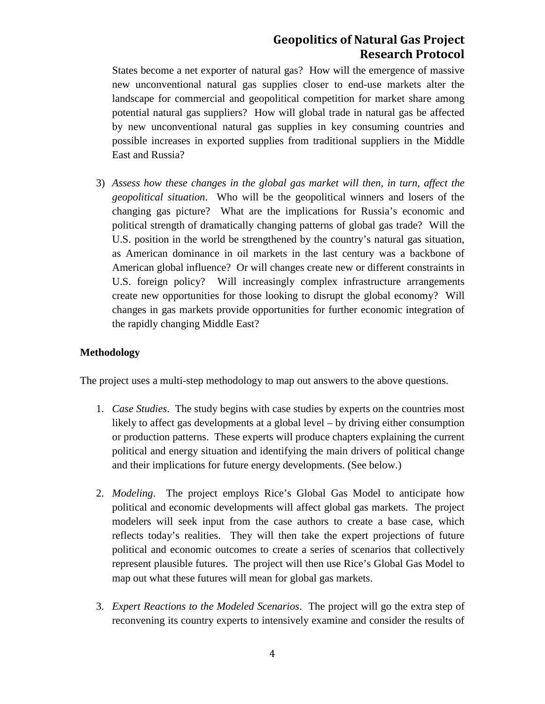States become a net exporter of natural gas? How will the emergence of massive new unconventional natural gas supplies closer to end-use markets alter the landscape for commercial and geopolitical competition for market share among potential natural gas suppliers? How will global trade in natural gas be affected by new unconventional natural gas supplies in key consuming countries and possible increases in exported supplies from traditional suppliers in the Middle East and Russia?

3) *Assess how these changes in the global gas market will then, in turn, affect the geopolitical situation*. Who will be the geopolitical winners and losers of the changing gas picture? What are the implications for Russia's economic and political strength of dramatically changing patterns of global gas trade? Will the U.S. position in the world be strengthened by the country's natural gas situation, as American dominance in oil markets in the last century was a backbone of American global influence? Or will changes create new or different constraints in U.S. foreign policy? Will increasingly complex infrastructure arrangements create new opportunities for those looking to disrupt the global economy? Will changes in gas markets provide opportunities for further economic integration of the rapidly changing Middle East?

#### **Methodology**

The project uses a multi-step methodology to map out answers to the above questions.

- 1. *Case Studies*. The study begins with case studies by experts on the countries most likely to affect gas developments at a global level – by driving either consumption or production patterns. These experts will produce chapters explaining the current political and energy situation and identifying the main drivers of political change and their implications for future energy developments. (See below.)
- 2. *Modeling*. The project employs Rice's Global Gas Model to anticipate how political and economic developments will affect global gas markets. The project modelers will seek input from the case authors to create a base case, which reflects today's realities. They will then take the expert projections of future political and economic outcomes to create a series of scenarios that collectively represent plausible futures. The project will then use Rice's Global Gas Model to map out what these futures will mean for global gas markets.
- 3. *Expert Reactions to the Modeled Scenarios*. The project will go the extra step of reconvening its country experts to intensively examine and consider the results of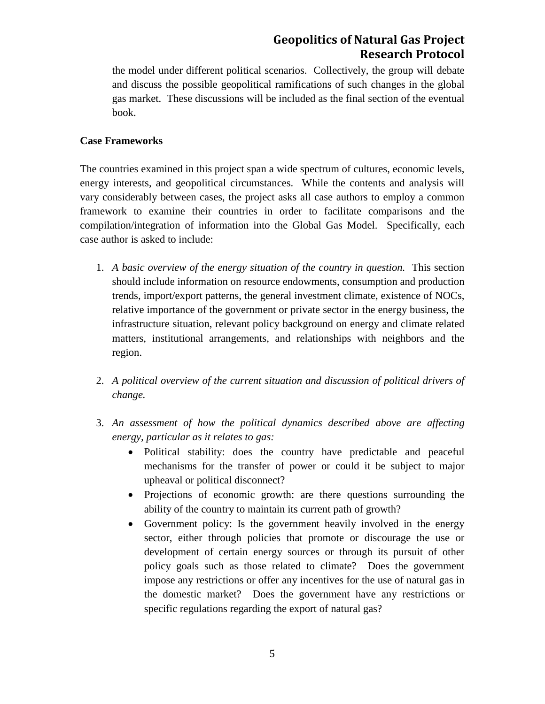the model under different political scenarios. Collectively, the group will debate and discuss the possible geopolitical ramifications of such changes in the global gas market. These discussions will be included as the final section of the eventual book.

#### **Case Frameworks**

The countries examined in this project span a wide spectrum of cultures, economic levels, energy interests, and geopolitical circumstances. While the contents and analysis will vary considerably between cases, the project asks all case authors to employ a common framework to examine their countries in order to facilitate comparisons and the compilation/integration of information into the Global Gas Model. Specifically, each case author is asked to include:

- 1. *A basic overview of the energy situation of the country in question.* This section should include information on resource endowments, consumption and production trends, import/export patterns, the general investment climate, existence of NOCs, relative importance of the government or private sector in the energy business, the infrastructure situation, relevant policy background on energy and climate related matters, institutional arrangements, and relationships with neighbors and the region.
- 2. *A political overview of the current situation and discussion of political drivers of change.*
- 3. *An assessment of how the political dynamics described above are affecting energy, particular as it relates to gas:*
	- Political stability: does the country have predictable and peaceful mechanisms for the transfer of power or could it be subject to major upheaval or political disconnect?
	- Projections of economic growth: are there questions surrounding the ability of the country to maintain its current path of growth?
	- Government policy: Is the government heavily involved in the energy sector, either through policies that promote or discourage the use or development of certain energy sources or through its pursuit of other policy goals such as those related to climate? Does the government impose any restrictions or offer any incentives for the use of natural gas in the domestic market? Does the government have any restrictions or specific regulations regarding the export of natural gas?